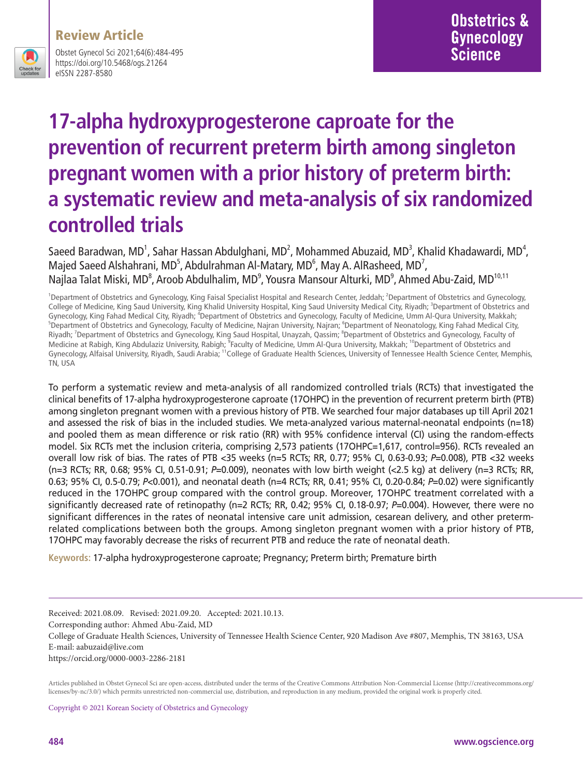### Review Article



Obstet Gynecol Sci 2021;64(6):484-495 https://doi.org/10.5468/ogs.21264 eISSN 2287-8580

# **17-alpha hydroxyprogesterone caproate for the prevention of recurrent preterm birth among singleton pregnant women with a prior history of preterm birth: a systematic review and meta-analysis of six randomized controlled trials**

Saeed Baradwan, MD<sup>1</sup>, Sahar Hassan Abdulghani, MD<sup>2</sup>, Mohammed Abuzaid, MD<sup>3</sup>, Khalid Khadawardi, MD<sup>4</sup>, Majed Saeed Alshahrani, MD<sup>5</sup>, Abdulrahman Al-Matary, MD<sup>6</sup>, May A. AlRasheed, MD<sup>7</sup>, Najlaa Talat Miski, MD<sup>8</sup>, Aroob Abdulhalim, MD<sup>9</sup>, Yousra Mansour Alturki, MD<sup>9</sup>, Ahmed Abu-Zaid, MD<sup>10,11</sup>

<sup>1</sup>Department of Obstetrics and Gynecology, King Faisal Specialist Hospital and Research Center, Jeddah; <sup>2</sup>Department of Obstetrics and Gynecology, College of Medicine, King Saud University, King Khalid University Hospital, King Saud University Medical City, Riyadh; <sup>3</sup>Department of Obstetrics and Gynecology, King Fahad Medical City, Riyadh; <sup>4</sup>Department of Obstetrics and Gynecology, Faculty of Medicine, Umm Al-Qura University, Makkah;<br><sup>5</sup>Department of Obstetrics and Gynecology, Faculty of Medicine, Nairan Universi Department of Obstetrics and Gynecology, Faculty of Medicine, Najran University, Najran; <sup>6</sup>Department of Neonatology, King Fahad Medical City, Riyadh; <sup>7</sup>Department of Obstetrics and Gynecology, King Saud Hospital, Unayzah, Qassim; <sup>8</sup>Department of Obstetrics and Gynecology, Faculty of Medicine at Rabigh, King Abdulaziz University, Rabigh; <sup>9</sup>Faculty of Medicine, Umm Al-Qura University, Makkah; <sup>10</sup>Department of Obstetrics and Gynecology, Alfaisal University, Riyadh, Saudi Arabia; 11College of Graduate Health Sciences, University of Tennessee Health Science Center, Memphis, TN, USA

To perform a systematic review and meta-analysis of all randomized controlled trials (RCTs) that investigated the clinical benefits of 17-alpha hydroxyprogesterone caproate (17OHPC) in the prevention of recurrent preterm birth (PTB) among singleton pregnant women with a previous history of PTB. We searched four major databases up till April 2021 and assessed the risk of bias in the included studies. We meta-analyzed various maternal-neonatal endpoints (n=18) and pooled them as mean difference or risk ratio (RR) with 95% confidence interval (CI) using the random-effects model. Six RCTs met the inclusion criteria, comprising 2,573 patients (17OHPC=1,617, control=956). RCTs revealed an overall low risk of bias. The rates of PTB <35 weeks (n=5 RCTs; RR, 0.77; 95% CI, 0.63-0.93; *P*=0.008), PTB <32 weeks (n=3 RCTs; RR, 0.68; 95% CI, 0.51-0.91; *P*=0.009), neonates with low birth weight (<2.5 kg) at delivery (n=3 RCTs; RR, 0.63; 95% CI, 0.5-0.79; *P*<0.001), and neonatal death (n=4 RCTs; RR, 0.41; 95% CI, 0.20-0.84; *P*=0.02) were significantly reduced in the 17OHPC group compared with the control group. Moreover, 17OHPC treatment correlated with a significantly decreased rate of retinopathy (n=2 RCTs; RR, 0.42; 95% CI, 0.18-0.97; *P*=0.004). However, there were no significant differences in the rates of neonatal intensive care unit admission, cesarean delivery, and other pretermrelated complications between both the groups. Among singleton pregnant women with a prior history of PTB, 17OHPC may favorably decrease the risks of recurrent PTB and reduce the rate of neonatal death.

**Keywords:** 17-alpha hydroxyprogesterone caproate; Pregnancy; Preterm birth; Premature birth

Received: 2021.08.09. Revised: 2021.09.20. Accepted: 2021.10.13. Corresponding author: Ahmed Abu-Zaid, MD College of Graduate Health Sciences, University of Tennessee Health Science Center, 920 Madison Ave #807, Memphis, TN 38163, USA E-mail: aabuzaid@live.com https://orcid.org/0000-0003-2286-2181

Articles published in Obstet Gynecol Sci are open-access, distributed under the terms of the Creative Commons Attribution Non-Commercial License (http://creativecommons.org/ licenses/by-nc/3.0/) which permits unrestricted non-commercial use, distribution, and reproduction in any medium, provided the original work is properly cited.

Copyright © 2021 Korean Society of Obstetrics and Gynecology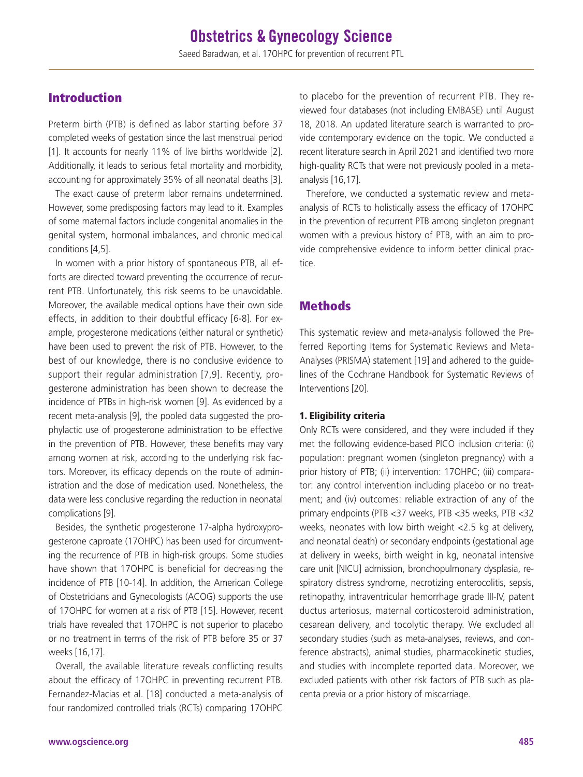# Introduction

Preterm birth (PTB) is defined as labor starting before 37 completed weeks of gestation since the last menstrual period [1]. It accounts for nearly 11% of live births worldwide [2]. Additionally, it leads to serious fetal mortality and morbidity, accounting for approximately 35% of all neonatal deaths [3].

The exact cause of preterm labor remains undetermined. However, some predisposing factors may lead to it. Examples of some maternal factors include congenital anomalies in the genital system, hormonal imbalances, and chronic medical conditions [4,5].

In women with a prior history of spontaneous PTB, all efforts are directed toward preventing the occurrence of recurrent PTB. Unfortunately, this risk seems to be unavoidable. Moreover, the available medical options have their own side effects, in addition to their doubtful efficacy [6-8]. For example, progesterone medications (either natural or synthetic) have been used to prevent the risk of PTB. However, to the best of our knowledge, there is no conclusive evidence to support their regular administration [7,9]. Recently, progesterone administration has been shown to decrease the incidence of PTBs in high-risk women [9]. As evidenced by a recent meta-analysis [9], the pooled data suggested the prophylactic use of progesterone administration to be effective in the prevention of PTB. However, these benefits may vary among women at risk, according to the underlying risk factors. Moreover, its efficacy depends on the route of administration and the dose of medication used. Nonetheless, the data were less conclusive regarding the reduction in neonatal complications [9].

Besides, the synthetic progesterone 17-alpha hydroxyprogesterone caproate (17OHPC) has been used for circumventing the recurrence of PTB in high-risk groups. Some studies have shown that 17OHPC is beneficial for decreasing the incidence of PTB [10-14]. In addition, the American College of Obstetricians and Gynecologists (ACOG) supports the use of 17OHPC for women at a risk of PTB [15]. However, recent trials have revealed that 17OHPC is not superior to placebo or no treatment in terms of the risk of PTB before 35 or 37 weeks [16,17].

Overall, the available literature reveals conflicting results about the efficacy of 17OHPC in preventing recurrent PTB. Fernandez-Macias et al. [18] conducted a meta-analysis of four randomized controlled trials (RCTs) comparing 17OHPC

to placebo for the prevention of recurrent PTB. They reviewed four databases (not including EMBASE) until August 18, 2018. An updated literature search is warranted to provide contemporary evidence on the topic. We conducted a recent literature search in April 2021 and identified two more high-quality RCTs that were not previously pooled in a metaanalysis [16,17].

Therefore, we conducted a systematic review and metaanalysis of RCTs to holistically assess the efficacy of 17OHPC in the prevention of recurrent PTB among singleton pregnant women with a previous history of PTB, with an aim to provide comprehensive evidence to inform better clinical practice.

### Methods

This systematic review and meta-analysis followed the Preferred Reporting Items for Systematic Reviews and Meta-Analyses (PRISMA) statement [19] and adhered to the guidelines of the Cochrane Handbook for Systematic Reviews of Interventions [20].

#### 1. Eligibility criteria

Only RCTs were considered, and they were included if they met the following evidence-based PICO inclusion criteria: (i) population: pregnant women (singleton pregnancy) with a prior history of PTB; (ii) intervention: 17OHPC; (iii) comparator: any control intervention including placebo or no treatment; and (iv) outcomes: reliable extraction of any of the primary endpoints (PTB <37 weeks, PTB <35 weeks, PTB <32 weeks, neonates with low birth weight <2.5 kg at delivery, and neonatal death) or secondary endpoints (gestational age at delivery in weeks, birth weight in kg, neonatal intensive care unit [NICU] admission, bronchopulmonary dysplasia, respiratory distress syndrome, necrotizing enterocolitis, sepsis, retinopathy, intraventricular hemorrhage grade III-IV, patent ductus arteriosus, maternal corticosteroid administration, cesarean delivery, and tocolytic therapy. We excluded all secondary studies (such as meta-analyses, reviews, and conference abstracts), animal studies, pharmacokinetic studies, and studies with incomplete reported data. Moreover, we excluded patients with other risk factors of PTB such as placenta previa or a prior history of miscarriage.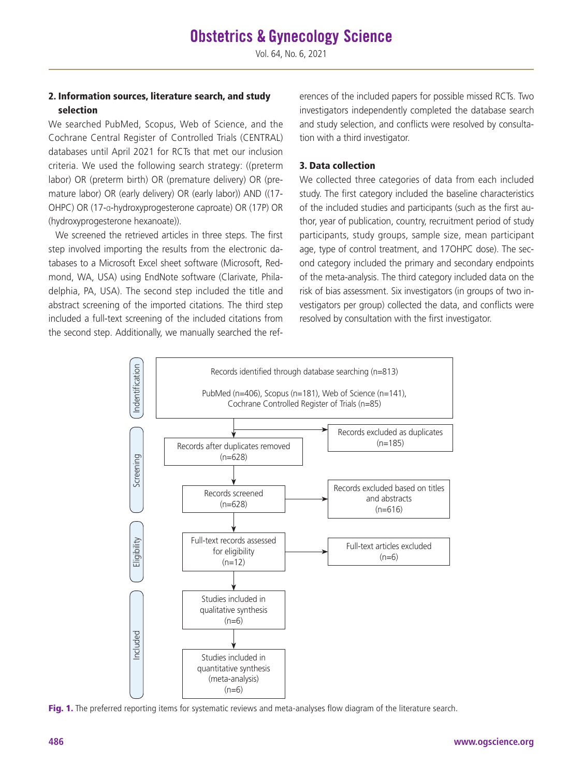#### 2. Information sources, literature search, and study selection

We searched PubMed, Scopus, Web of Science, and the Cochrane Central Register of Controlled Trials (CENTRAL) databases until April 2021 for RCTs that met our inclusion criteria. We used the following search strategy: ((preterm labor) OR (preterm birth) OR (premature delivery) OR (premature labor) OR (early delivery) OR (early labor)) AND ((17- OHPC) OR (17-α-hydroxyprogesterone caproate) OR (17P) OR (hydroxyprogesterone hexanoate)).

We screened the retrieved articles in three steps. The first step involved importing the results from the electronic databases to a Microsoft Excel sheet software (Microsoft, Redmond, WA, USA) using EndNote software (Clarivate, Philadelphia, PA, USA). The second step included the title and abstract screening of the imported citations. The third step included a full-text screening of the included citations from the second step. Additionally, we manually searched the references of the included papers for possible missed RCTs. Two investigators independently completed the database search and study selection, and conflicts were resolved by consultation with a third investigator.

#### 3. Data collection

We collected three categories of data from each included study. The first category included the baseline characteristics of the included studies and participants (such as the first author, year of publication, country, recruitment period of study participants, study groups, sample size, mean participant age, type of control treatment, and 17OHPC dose). The second category included the primary and secondary endpoints of the meta-analysis. The third category included data on the risk of bias assessment. Six investigators (in groups of two investigators per group) collected the data, and conflicts were resolved by consultation with the first investigator.



Fig. 1. The preferred reporting items for systematic reviews and meta-analyses flow diagram of the literature search.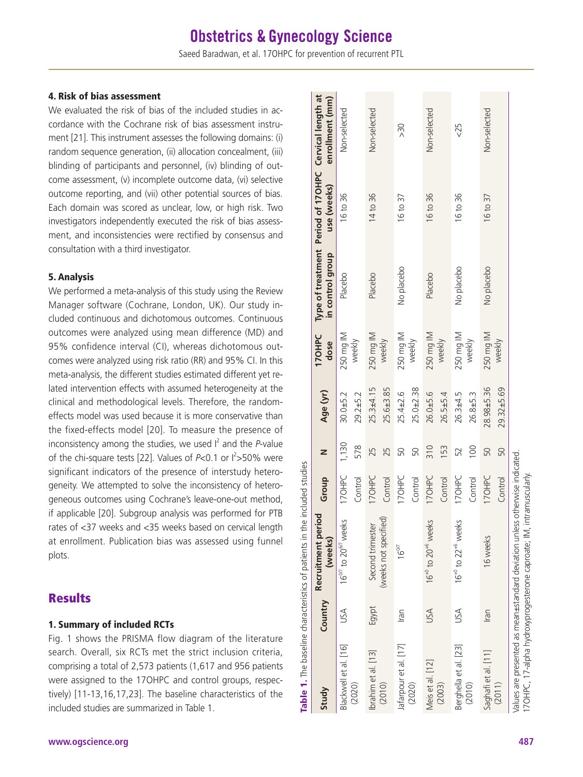#### 4. Risk of bias assessment

We evaluated the risk of bias of the included studies in accordance with the Cochrane risk of bias assessment instrument [21]. This instrument assesses the following domains: (i) random sequence generation, (ii) allocation concealment, (iii) blinding of participants and personnel, (iv) blinding of outcome assessment, (v) incomplete outcome data, (vi) selective outcome reporting, and (vii) other potential sources of bias. Each domain was scored as unclear, low, or high risk. Two investigators independently executed the risk of bias assessment, and inconsistencies were rectified by consensus and consultation with a third investigator.

#### 5. Analysis

We performed a meta-analysis of this study using the Review Manager software (Cochrane, London, UK). Our study included continuous and dichotomous outcomes. Continuous outcomes were analyzed using mean difference (MD) and 95% confidence interval (CI), whereas dichotomous outcomes were analyzed using risk ratio (RR) and 95% CI. In this meta-analysis, the different studies estimated different yet related intervention effects with assumed heterogeneity at the clinical and methodological levels. Therefore, the randomeffects model was used because it is more conservative than the fixed-effects model [20]. To measure the presence of inconsistency among the studies, we used  $I^2$  and the *P*-value of the chi-square tests [22]. Values of P<0.1 or  $l^2 > 50\%$  were significant indicators of the presence of interstudy heterogeneity. We attempted to solve the inconsistency of heterogeneous outcomes using Cochrane's leave-one-out method, if applicable [20]. Subgroup analysis was performed for PTB rates of <37 weeks and <35 weeks based on cervical length at enrollment. Publication bias was assessed using funnel plots.

### **Results**

#### 1. Summary of included RCTs

Fig. 1 shows the PRISMA flow diagram of the literature search. Overall, six RCTs met the strict inclusion criteria, comprising a total of 2,573 patients (1,617 and 956 patients were assigned to the 17OHPC and control groups, respectively) [11-13,16,17,23]. The baseline characteristics of the included studies are summarized in Table 1.

| Type of treatment Period of 170HPC Cervical length at<br>$\approx$<br>use (weeks)<br>16 to 36<br>14 to 36<br>16 to 36<br>16 to 36<br>16 to 37<br>16 to 37<br>in control group<br>No placebo<br>No placebo<br>No placebo<br>Placebo<br>Placebo<br>Placebo<br>250 mg IM<br><b>170HPC</b><br>250 mg IM<br>250 mg IM<br>250 mg IM<br>250 mg IM<br>250 mg IM<br>weekly<br>weekly<br>weekly<br>weekly<br>weekly<br>weekly<br>dose<br>$25.3 + 4.15$<br>$25.6 + 3.85$<br>$25.0 + 2.38$<br>28.98±5.36<br>$29.32 + 5.69$<br>$25.4 \pm 2.6$<br>Age (yr)<br>26.0±5.6<br>$26.5 + 5.4$<br>$30.0 + 5.2$<br>$26.3 + 4.5$<br>26.8±5.3<br>$29.2 + 5.2$<br>1,130<br>578<br>153<br>310<br>100<br>25<br>25<br>50<br>50<br>50<br>52<br>50<br>17OHPC<br>Group<br>170HPC<br>17 OHPC<br>I7OHPC<br>17 OHPC<br>170HPC<br>Control<br>Control<br>Control<br>Control<br>Control<br>Control<br>Recruitment period<br>(weeks not specified)<br>$16^{0/7}$ to $20^{6/7}$ weeks<br>$16^{+0}$ to $20^{+6}$ weeks<br>$16^{+0}$ to $22^{+6}$ weeks<br>Second trimester<br>16 weeks<br>(weeks)<br>$16^{\circ\prime\prime}$<br>Country<br>Egypt<br>USA<br>USA<br>USA<br>Iran<br>Iran<br>Berghella et al. [23]<br>Blackwell et al. [16]<br>Jafarpour et al. [17]<br>Saghafi et al. [11]<br>Ibrahim et al. [13]<br>Meis et al. [12]<br>(2020)<br>(2003)<br>(2010)<br>(2011)<br>(2010)<br>(2020)<br>Study |  | Table 1. The baseline characteristics of patients in the included studies |  |  |  |                 |
|-----------------------------------------------------------------------------------------------------------------------------------------------------------------------------------------------------------------------------------------------------------------------------------------------------------------------------------------------------------------------------------------------------------------------------------------------------------------------------------------------------------------------------------------------------------------------------------------------------------------------------------------------------------------------------------------------------------------------------------------------------------------------------------------------------------------------------------------------------------------------------------------------------------------------------------------------------------------------------------------------------------------------------------------------------------------------------------------------------------------------------------------------------------------------------------------------------------------------------------------------------------------------------------------------------------------------------------------------------------------|--|---------------------------------------------------------------------------|--|--|--|-----------------|
|                                                                                                                                                                                                                                                                                                                                                                                                                                                                                                                                                                                                                                                                                                                                                                                                                                                                                                                                                                                                                                                                                                                                                                                                                                                                                                                                                                 |  |                                                                           |  |  |  | enrollment (mm) |
|                                                                                                                                                                                                                                                                                                                                                                                                                                                                                                                                                                                                                                                                                                                                                                                                                                                                                                                                                                                                                                                                                                                                                                                                                                                                                                                                                                 |  |                                                                           |  |  |  | Non-selected    |
|                                                                                                                                                                                                                                                                                                                                                                                                                                                                                                                                                                                                                                                                                                                                                                                                                                                                                                                                                                                                                                                                                                                                                                                                                                                                                                                                                                 |  |                                                                           |  |  |  |                 |
|                                                                                                                                                                                                                                                                                                                                                                                                                                                                                                                                                                                                                                                                                                                                                                                                                                                                                                                                                                                                                                                                                                                                                                                                                                                                                                                                                                 |  |                                                                           |  |  |  | Non-selected    |
|                                                                                                                                                                                                                                                                                                                                                                                                                                                                                                                                                                                                                                                                                                                                                                                                                                                                                                                                                                                                                                                                                                                                                                                                                                                                                                                                                                 |  |                                                                           |  |  |  |                 |
|                                                                                                                                                                                                                                                                                                                                                                                                                                                                                                                                                                                                                                                                                                                                                                                                                                                                                                                                                                                                                                                                                                                                                                                                                                                                                                                                                                 |  |                                                                           |  |  |  |                 |
|                                                                                                                                                                                                                                                                                                                                                                                                                                                                                                                                                                                                                                                                                                                                                                                                                                                                                                                                                                                                                                                                                                                                                                                                                                                                                                                                                                 |  |                                                                           |  |  |  |                 |
|                                                                                                                                                                                                                                                                                                                                                                                                                                                                                                                                                                                                                                                                                                                                                                                                                                                                                                                                                                                                                                                                                                                                                                                                                                                                                                                                                                 |  |                                                                           |  |  |  | Non-selected    |
|                                                                                                                                                                                                                                                                                                                                                                                                                                                                                                                                                                                                                                                                                                                                                                                                                                                                                                                                                                                                                                                                                                                                                                                                                                                                                                                                                                 |  |                                                                           |  |  |  |                 |
|                                                                                                                                                                                                                                                                                                                                                                                                                                                                                                                                                                                                                                                                                                                                                                                                                                                                                                                                                                                                                                                                                                                                                                                                                                                                                                                                                                 |  |                                                                           |  |  |  | 32              |
|                                                                                                                                                                                                                                                                                                                                                                                                                                                                                                                                                                                                                                                                                                                                                                                                                                                                                                                                                                                                                                                                                                                                                                                                                                                                                                                                                                 |  |                                                                           |  |  |  |                 |
|                                                                                                                                                                                                                                                                                                                                                                                                                                                                                                                                                                                                                                                                                                                                                                                                                                                                                                                                                                                                                                                                                                                                                                                                                                                                                                                                                                 |  |                                                                           |  |  |  | Non-selected    |
|                                                                                                                                                                                                                                                                                                                                                                                                                                                                                                                                                                                                                                                                                                                                                                                                                                                                                                                                                                                                                                                                                                                                                                                                                                                                                                                                                                 |  |                                                                           |  |  |  |                 |
|                                                                                                                                                                                                                                                                                                                                                                                                                                                                                                                                                                                                                                                                                                                                                                                                                                                                                                                                                                                                                                                                                                                                                                                                                                                                                                                                                                 |  | 17OHPC, 17-alpha hydroxyprogesterone caproate; IM, intramuscularly.       |  |  |  |                 |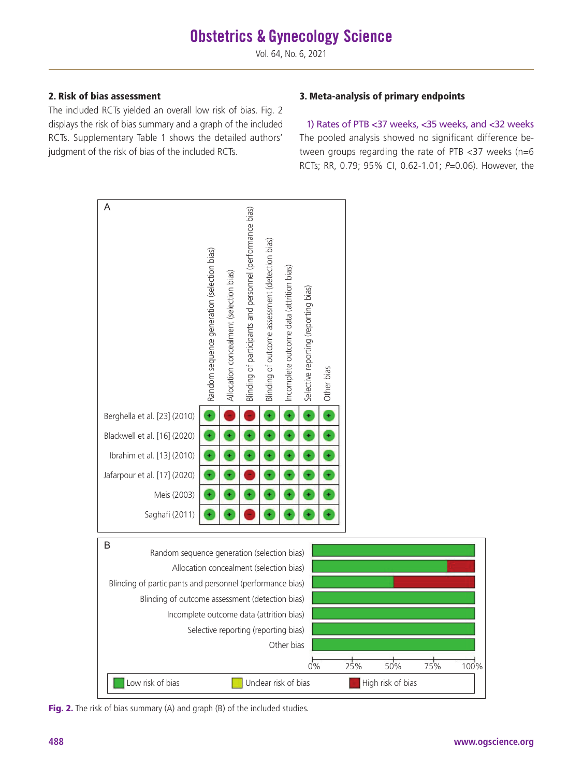#### 2. Risk of bias assessment

The included RCTs yielded an overall low risk of bias. Fig. 2 displays the risk of bias summary and a graph of the included RCTs. Supplementary Table 1 shows the detailed authors' judgment of the risk of bias of the included RCTs.

#### 3. Meta-analysis of primary endpoints

1) Rates of PTB <37 weeks, <35 weeks, and <32 weeks The pooled analysis showed no significant difference between groups regarding the rate of PTB <37 weeks (n=6 RCTs; RR, 0.79; 95% CI, 0.62-1.01; *P*=0.06). However, the



Fig. 2. The risk of bias summary (A) and graph (B) of the included studies.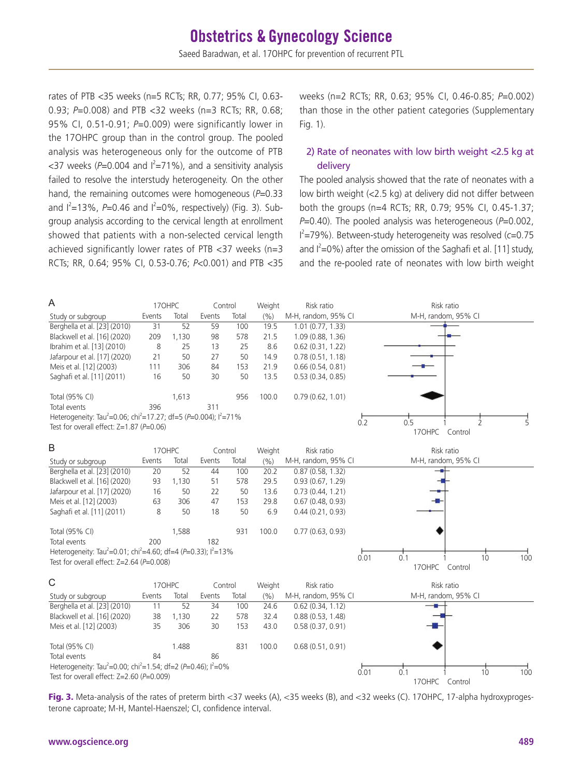rates of PTB <35 weeks (n=5 RCTs; RR, 0.77; 95% CI, 0.63- 0.93; *P*=0.008) and PTB <32 weeks (n=3 RCTs; RR, 0.68; 95% CI, 0.51-0.91; *P*=0.009) were significantly lower in the 17OHPC group than in the control group. The pooled analysis was heterogeneous only for the outcome of PTB  $<$ 37 weeks (P=0.004 and  $l^2$ =71%), and a sensitivity analysis failed to resolve the interstudy heterogeneity. On the other hand, the remaining outcomes were homogeneous (P=0.33) and I<sup>2</sup>=13%, P=0.46 and I<sup>2</sup>=0%, respectively) (Fig. 3). Subgroup analysis according to the cervical length at enrollment showed that patients with a non-selected cervical length achieved significantly lower rates of PTB <37 weeks (n=3 RCTs; RR, 0.64; 95% CI, 0.53-0.76; *P*<0.001) and PTB <35

weeks (n=2 RCTs; RR, 0.63; 95% CI, 0.46-0.85; *P*=0.002) than those in the other patient categories (Supplementary Fig. 1).

#### 2) Rate of neonates with low birth weight <2.5 kg at delivery

The pooled analysis showed that the rate of neonates with a low birth weight (<2.5 kg) at delivery did not differ between both the groups (n=4 RCTs; RR, 0.79; 95% CI, 0.45-1.37; *P*=0.40). The pooled analysis was heterogeneous (*P*=0.002, I 2 =79%). Between-study heterogeneity was resolved (*c*=0.75 and  $I^2=0\%$ ) after the omission of the Saghafi et al. [11] study, and the re-pooled rate of neonates with low birth weight



Fig. 3. Meta-analysis of the rates of preterm birth <37 weeks (A), <35 weeks (B), and <32 weeks (C). 17OHPC, 17-alpha hydroxyprogesterone caproate; M-H, Mantel-Haenszel; CI, confidence interval.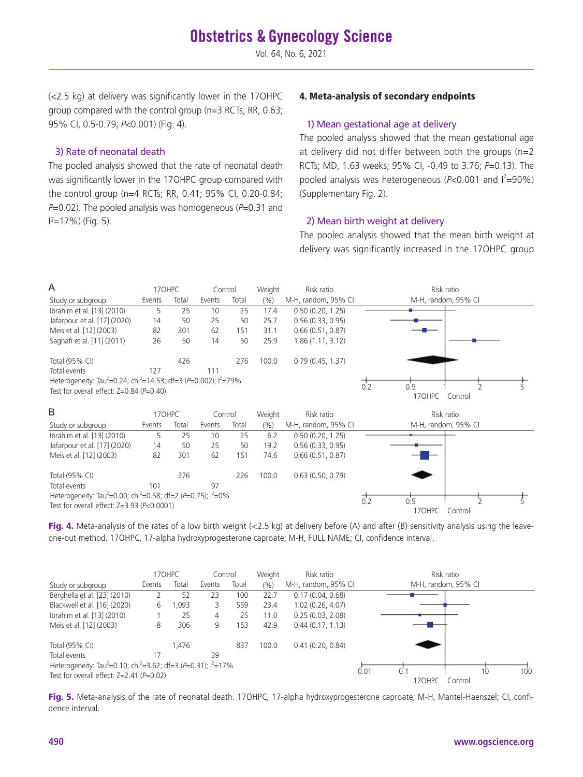(<2.5 kg) at delivery was significantly lower in the 17OHPC group compared with the control group (n=3 RCTs; RR, 0.63; 95% CI, 0.5-0.79; *P*<0.001) (Fig. 4).

#### 3) Rate of neonatal death

The pooled analysis showed that the rate of neonatal death was significantly lower in the 17OHPC group compared with the control group (n=4 RCTs; RR, 0.41; 95% CI, 0.20-0.84; *P*=0.02). The pooled analysis was homogeneous (*P*=0.31 and  $I^2=17\%$ ) (Fig. 5).

#### 4. Meta-analysis of secondary endpoints

#### 1) Mean gestational age at delivery

The pooled analysis showed that the mean gestational age at delivery did not differ between both the groups (n=2 RCTs; MD, 1.63 weeks; 95% CI, -0.49 to 3.76; *P*=0.13). The pooled analysis was heterogeneous ( $P < 0.001$  and  $I^2 = 90\%$ ) (Supplementary Fig. 2).

#### 2) Mean birth weight at delivery

The pooled analysis showed that the mean birth weight at delivery was significantly increased in the 17OHPC group



Fig. 4. Meta-analysis of the rates of a low birth weight  $\langle$ <2.5 kg) at delivery before (A) and after (B) sensitivity analysis using the leaveone-out method. 17OHPC, 17-alpha hydroxyprogesterone caproate; M-H, FULL NAME; CI, confidence interval.

|                                                                                          |        | 170HPC | Control |       | Weight | Risk ratio          |      |               | Risk ratio          |     |
|------------------------------------------------------------------------------------------|--------|--------|---------|-------|--------|---------------------|------|---------------|---------------------|-----|
| Study or subgroup                                                                        | Events | Total  | Events  | Total | (9/0)  | M-H, random, 95% CI |      |               | M-H, random, 95% CI |     |
| Berghella et al. [23] (2010)                                                             |        | 52     | 23      | 100   | 22.7   | 0.17(0.04, 0.68)    |      |               |                     |     |
| Blackwell et al. [16] (2020)                                                             | 6      | ,093   | 3.      | 559   | 23.4   | 1.02(0.26, 4.07)    |      |               |                     |     |
| Ibrahim et al. [13] (2010)                                                               |        | 25     | 4       | 25    | 11.0   | 0.25(0.03, 2.08)    |      |               |                     |     |
| Meis et al. [12] (2003)                                                                  | 8      | 306    | 9       | 153   | 42.9   | 0.44(0.17, 1.13)    |      |               |                     |     |
| Total (95% CI)                                                                           |        | 1.476  |         | 837   | 100.0  | 0.41(0.20, 0.84)    |      |               |                     |     |
| Total events                                                                             | 17     |        | 39      |       |        |                     |      |               |                     |     |
| Heterogeneity: Tau <sup>2</sup> =0.10; chi <sup>2</sup> =3.62; df=3 (P=0.31); $I^2$ =17% |        |        |         |       |        |                     |      |               |                     |     |
| Test for overall effect: $Z=2.41$ ( $P=0.02$ )                                           |        |        |         |       |        |                     | 0.01 | 0.1<br>170HPC | 10<br>Control       | 100 |

Fig. 5. Meta-analysis of the rate of neonatal death. 17OHPC, 17-alpha hydroxyprogesterone caproate; M-H, Mantel-Haenszel; CI, confidence interval.

#### **490 www.ogscience.org**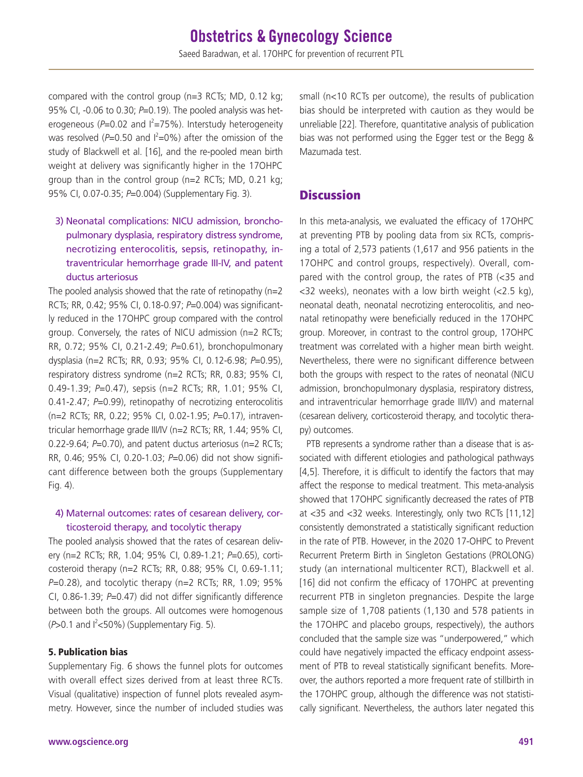compared with the control group (n=3 RCTs; MD, 0.12 kg; 95% CI, -0.06 to 0.30; *P*=0.19). The pooled analysis was heterogeneous (P=0.02 and I<sup>2</sup>=75%). Interstudy heterogeneity was resolved  $(P=0.50$  and  $I^2=0\%)$  after the omission of the study of Blackwell et al. [16], and the re-pooled mean birth weight at delivery was significantly higher in the 17OHPC group than in the control group (n=2 RCTs; MD, 0.21 kg; 95% CI, 0.07-0.35; *P*=0.004) (Supplementary Fig. 3).

#### 3) Neonatal complications: NICU admission, bronchopulmonary dysplasia, respiratory distress syndrome, necrotizing enterocolitis, sepsis, retinopathy, intraventricular hemorrhage grade III-IV, and patent ductus arteriosus

The pooled analysis showed that the rate of retinopathy  $(n=2)$ RCTs; RR, 0.42; 95% CI, 0.18-0.97; *P*=0.004) was significantly reduced in the 17OHPC group compared with the control group. Conversely, the rates of NICU admission (n=2 RCTs; RR, 0.72; 95% CI, 0.21-2.49; *P*=0.61), bronchopulmonary dysplasia (n=2 RCTs; RR, 0.93; 95% CI, 0.12-6.98; *P*=0.95), respiratory distress syndrome (n=2 RCTs; RR, 0.83; 95% CI, 0.49-1.39; *P*=0.47), sepsis (n=2 RCTs; RR, 1.01; 95% CI, 0.41-2.47; *P*=0.99), retinopathy of necrotizing enterocolitis (n=2 RCTs; RR, 0.22; 95% CI, 0.02-1.95; *P*=0.17), intraventricular hemorrhage grade III/IV (n=2 RCTs; RR, 1.44; 95% CI, 0.22-9.64; *P*=0.70), and patent ductus arteriosus (n=2 RCTs; RR, 0.46; 95% CI, 0.20-1.03; *P*=0.06) did not show significant difference between both the groups (Supplementary Fig. 4).

#### 4) Maternal outcomes: rates of cesarean delivery, corticosteroid therapy, and tocolytic therapy

The pooled analysis showed that the rates of cesarean delivery (n=2 RCTs; RR, 1.04; 95% CI, 0.89-1.21; *P*=0.65), corticosteroid therapy (n=2 RCTs; RR, 0.88; 95% CI, 0.69-1.11; *P*=0.28), and tocolytic therapy (n=2 RCTs; RR, 1.09; 95% CI, 0.86-1.39; *P*=0.47) did not differ significantly difference between both the groups. All outcomes were homogenous  $(P>0.1$  and  $I<sup>2</sup><50%$ ) (Supplementary Fig. 5).

#### 5. Publication bias

Supplementary Fig. 6 shows the funnel plots for outcomes with overall effect sizes derived from at least three RCTs. Visual (qualitative) inspection of funnel plots revealed asymmetry. However, since the number of included studies was

**www.ogscience.org 491**

small (n<10 RCTs per outcome), the results of publication bias should be interpreted with caution as they would be unreliable [22]. Therefore, quantitative analysis of publication bias was not performed using the Egger test or the Begg & Mazumada test.

### **Discussion**

In this meta-analysis, we evaluated the efficacy of 17OHPC at preventing PTB by pooling data from six RCTs, comprising a total of 2,573 patients (1,617 and 956 patients in the 17OHPC and control groups, respectively). Overall, compared with the control group, the rates of PTB (<35 and <32 weeks), neonates with a low birth weight (<2.5 kg), neonatal death, neonatal necrotizing enterocolitis, and neonatal retinopathy were beneficially reduced in the 17OHPC group. Moreover, in contrast to the control group, 17OHPC treatment was correlated with a higher mean birth weight. Nevertheless, there were no significant difference between both the groups with respect to the rates of neonatal (NICU admission, bronchopulmonary dysplasia, respiratory distress, and intraventricular hemorrhage grade III/IV) and maternal (cesarean delivery, corticosteroid therapy, and tocolytic therapy) outcomes.

PTB represents a syndrome rather than a disease that is associated with different etiologies and pathological pathways [4,5]. Therefore, it is difficult to identify the factors that may affect the response to medical treatment. This meta-analysis showed that 17OHPC significantly decreased the rates of PTB at <35 and <32 weeks. Interestingly, only two RCTs [11,12] consistently demonstrated a statistically significant reduction in the rate of PTB. However, in the 2020 17-OHPC to Prevent Recurrent Preterm Birth in Singleton Gestations (PROLONG) study (an international multicenter RCT), Blackwell et al. [16] did not confirm the efficacy of 17OHPC at preventing recurrent PTB in singleton pregnancies. Despite the large sample size of 1,708 patients (1,130 and 578 patients in the 17OHPC and placebo groups, respectively), the authors concluded that the sample size was "underpowered," which could have negatively impacted the efficacy endpoint assessment of PTB to reveal statistically significant benefits. Moreover, the authors reported a more frequent rate of stillbirth in the 17OHPC group, although the difference was not statistically significant. Nevertheless, the authors later negated this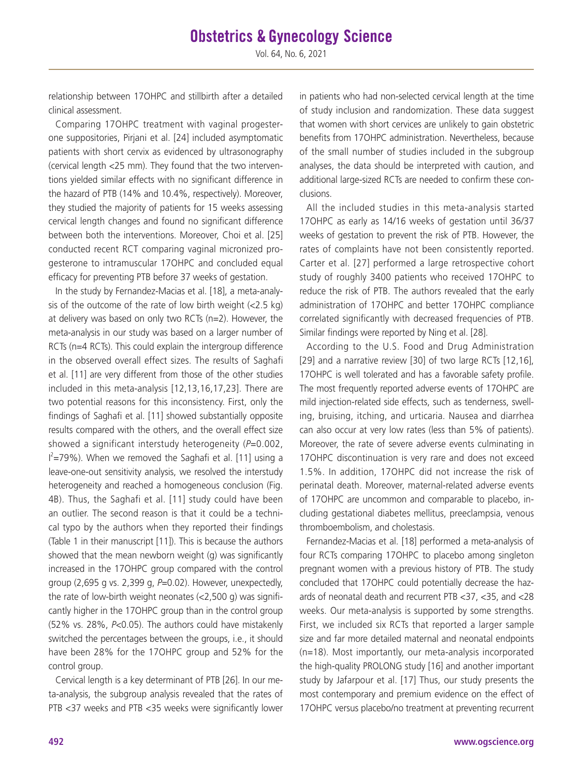# **Obstetrics & Gynecology Science**

Vol. 64, No. 6, 2021

relationship between 17OHPC and stillbirth after a detailed clinical assessment.

Comparing 17OHPC treatment with vaginal progesterone suppositories, Pirjani et al. [24] included asymptomatic patients with short cervix as evidenced by ultrasonography (cervical length <25 mm). They found that the two interventions yielded similar effects with no significant difference in the hazard of PTB (14% and 10.4%, respectively). Moreover, they studied the majority of patients for 15 weeks assessing cervical length changes and found no significant difference between both the interventions. Moreover, Choi et al. [25] conducted recent RCT comparing vaginal micronized progesterone to intramuscular 17OHPC and concluded equal efficacy for preventing PTB before 37 weeks of gestation.

In the study by Fernandez-Macias et al. [18], a meta-analysis of the outcome of the rate of low birth weight  $\langle$ <2.5 kg) at delivery was based on only two RCTs (n=2). However, the meta-analysis in our study was based on a larger number of RCTs (n=4 RCTs). This could explain the intergroup difference in the observed overall effect sizes. The results of Saghafi et al. [11] are very different from those of the other studies included in this meta-analysis [12,13,16,17,23]. There are two potential reasons for this inconsistency. First, only the findings of Saghafi et al. [11] showed substantially opposite results compared with the others, and the overall effect size showed a significant interstudy heterogeneity (*P*=0.002,  $I^2$ =79%). When we removed the Saghafi et al. [11] using a leave-one-out sensitivity analysis, we resolved the interstudy heterogeneity and reached a homogeneous conclusion (Fig. 4B). Thus, the Saghafi et al. [11] study could have been an outlier. The second reason is that it could be a technical typo by the authors when they reported their findings (Table 1 in their manuscript [11]). This is because the authors showed that the mean newborn weight (g) was significantly increased in the 17OHPC group compared with the control group (2,695 g vs. 2,399 g, *P*=0.02). However, unexpectedly, the rate of low-birth weight neonates (<2,500 g) was significantly higher in the 17OHPC group than in the control group (52% vs. 28%, *P*<0.05). The authors could have mistakenly switched the percentages between the groups, i.e., it should have been 28% for the 17OHPC group and 52% for the control group.

Cervical length is a key determinant of PTB [26]. In our meta-analysis, the subgroup analysis revealed that the rates of PTB <37 weeks and PTB <35 weeks were significantly lower in patients who had non-selected cervical length at the time of study inclusion and randomization. These data suggest that women with short cervices are unlikely to gain obstetric benefits from 17OHPC administration. Nevertheless, because of the small number of studies included in the subgroup analyses, the data should be interpreted with caution, and additional large-sized RCTs are needed to confirm these conclusions.

All the included studies in this meta-analysis started 17OHPC as early as 14/16 weeks of gestation until 36/37 weeks of gestation to prevent the risk of PTB. However, the rates of complaints have not been consistently reported. Carter et al. [27] performed a large retrospective cohort study of roughly 3400 patients who received 17OHPC to reduce the risk of PTB. The authors revealed that the early administration of 17OHPC and better 17OHPC compliance correlated significantly with decreased frequencies of PTB. Similar findings were reported by Ning et al. [28].

According to the U.S. Food and Drug Administration [29] and a narrative review [30] of two large RCTs [12,16], 17OHPC is well tolerated and has a favorable safety profile. The most frequently reported adverse events of 17OHPC are mild injection-related side effects, such as tenderness, swelling, bruising, itching, and urticaria. Nausea and diarrhea can also occur at very low rates (less than 5% of patients). Moreover, the rate of severe adverse events culminating in 17OHPC discontinuation is very rare and does not exceed 1.5%. In addition, 17OHPC did not increase the risk of perinatal death. Moreover, maternal-related adverse events of 17OHPC are uncommon and comparable to placebo, including gestational diabetes mellitus, preeclampsia, venous thromboembolism, and cholestasis.

Fernandez-Macias et al. [18] performed a meta-analysis of four RCTs comparing 17OHPC to placebo among singleton pregnant women with a previous history of PTB. The study concluded that 17OHPC could potentially decrease the hazards of neonatal death and recurrent PTB <37, <35, and <28 weeks. Our meta-analysis is supported by some strengths. First, we included six RCTs that reported a larger sample size and far more detailed maternal and neonatal endpoints (n=18). Most importantly, our meta-analysis incorporated the high-quality PROLONG study [16] and another important study by Jafarpour et al. [17] Thus, our study presents the most contemporary and premium evidence on the effect of 17OHPC versus placebo/no treatment at preventing recurrent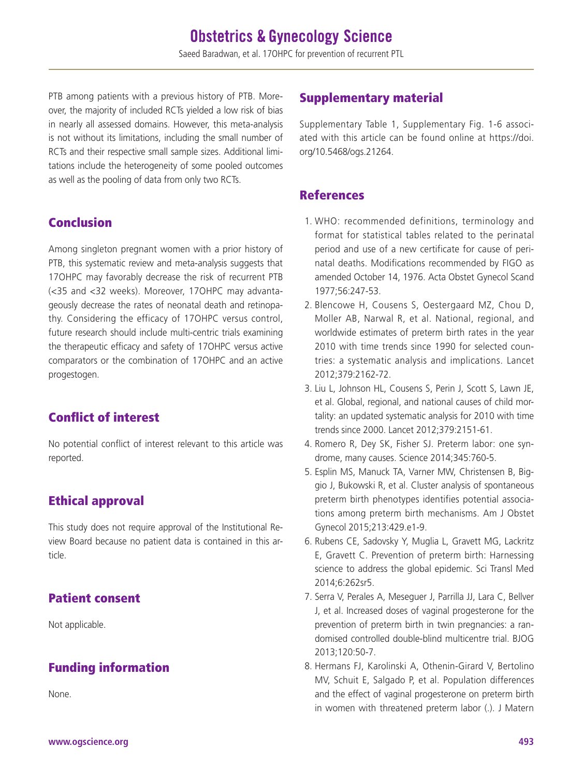PTB among patients with a previous history of PTB. Moreover, the majority of included RCTs yielded a low risk of bias in nearly all assessed domains. However, this meta-analysis is not without its limitations, including the small number of RCTs and their respective small sample sizes. Additional limitations include the heterogeneity of some pooled outcomes as well as the pooling of data from only two RCTs.

# Conclusion

Among singleton pregnant women with a prior history of PTB, this systematic review and meta-analysis suggests that 17OHPC may favorably decrease the risk of recurrent PTB (<35 and <32 weeks). Moreover, 17OHPC may advantageously decrease the rates of neonatal death and retinopathy. Considering the efficacy of 17OHPC versus control, future research should include multi-centric trials examining the therapeutic efficacy and safety of 17OHPC versus active comparators or the combination of 17OHPC and an active progestogen.

# Conflict of interest

No potential conflict of interest relevant to this article was reported.

# Ethical approval

This study does not require approval of the Institutional Review Board because no patient data is contained in this article.

# Patient consent

Not applicable.

# Funding information

None.

# Supplementary material

Supplementary Table 1, Supplementary Fig. 1-6 associated with this article can be found online at https://doi. org/10.5468/ogs.21264.

# References

- 1. WHO: recommended definitions, terminology and format for statistical tables related to the perinatal period and use of a new certificate for cause of perinatal deaths. Modifications recommended by FIGO as amended October 14, 1976. Acta Obstet Gynecol Scand 1977;56:247-53.
- 2. Blencowe H, Cousens S, Oestergaard MZ, Chou D, Moller AB, Narwal R, et al. National, regional, and worldwide estimates of preterm birth rates in the year 2010 with time trends since 1990 for selected countries: a systematic analysis and implications. Lancet 2012;379:2162-72.
- 3. Liu L, Johnson HL, Cousens S, Perin J, Scott S, Lawn JE, et al. Global, regional, and national causes of child mortality: an updated systematic analysis for 2010 with time trends since 2000. Lancet 2012;379:2151-61.
- 4. Romero R, Dey SK, Fisher SJ. Preterm labor: one syndrome, many causes. Science 2014;345:760-5.
- 5. Esplin MS, Manuck TA, Varner MW, Christensen B, Biggio J, Bukowski R, et al. Cluster analysis of spontaneous preterm birth phenotypes identifies potential associations among preterm birth mechanisms. Am J Obstet Gynecol 2015;213:429.e1-9.
- 6. Rubens CE, Sadovsky Y, Muglia L, Gravett MG, Lackritz E, Gravett C. Prevention of preterm birth: Harnessing science to address the global epidemic. Sci Transl Med 2014;6:262sr5.
- 7. Serra V, Perales A, Meseguer J, Parrilla JJ, Lara C, Bellver J, et al. Increased doses of vaginal progesterone for the prevention of preterm birth in twin pregnancies: a randomised controlled double-blind multicentre trial. BJOG 2013;120:50-7.
- 8. Hermans FJ, Karolinski A, Othenin-Girard V, Bertolino MV, Schuit E, Salgado P, et al. Population differences and the effect of vaginal progesterone on preterm birth in women with threatened preterm labor (.). J Matern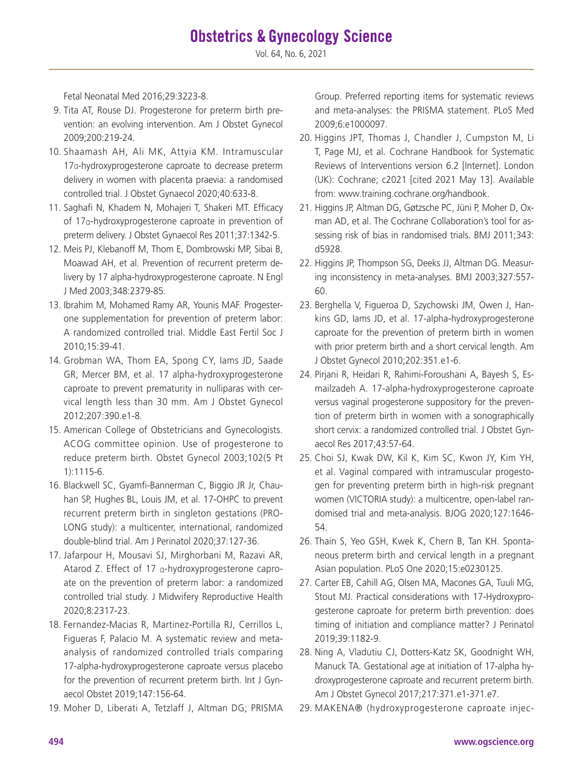Fetal Neonatal Med 2016;29:3223-8.

- 9. Tita AT, Rouse DJ. Progesterone for preterm birth prevention: an evolving intervention. Am J Obstet Gynecol 2009;200:219-24.
- 10. Shaamash AH, Ali MK, Attyia KM. Intramuscular 17α-hydroxyprogesterone caproate to decrease preterm delivery in women with placenta praevia: a randomised controlled trial. J Obstet Gynaecol 2020;40:633-8.
- 11. Saghafi N, Khadem N, Mohajeri T, Shakeri MT. Efficacy of 17α-hydroxyprogesterone caproate in prevention of preterm delivery. J Obstet Gynaecol Res 2011;37:1342-5.
- 12. Meis PJ, Klebanoff M, Thom E, Dombrowski MP, Sibai B, Moawad AH, et al. Prevention of recurrent preterm delivery by 17 alpha-hydroxyprogesterone caproate. N Engl J Med 2003;348:2379-85.
- 13. Ibrahim M, Mohamed Ramy AR, Younis MAF. Progesterone supplementation for prevention of preterm labor: A randomized controlled trial. Middle East Fertil Soc J 2010;15:39-41.
- 14. Grobman WA, Thom EA, Spong CY, Iams JD, Saade GR, Mercer BM, et al. 17 alpha-hydroxyprogesterone caproate to prevent prematurity in nulliparas with cervical length less than 30 mm. Am J Obstet Gynecol 2012;207:390.e1-8.
- 15. American College of Obstetricians and Gynecologists. ACOG committee opinion. Use of progesterone to reduce preterm birth. Obstet Gynecol 2003;102(5 Pt 1):1115-6.
- 16. Blackwell SC, Gyamfi-Bannerman C, Biggio JR Jr, Chauhan SP, Hughes BL, Louis JM, et al. 17-OHPC to prevent recurrent preterm birth in singleton gestations (PRO-LONG study): a multicenter, international, randomized double-blind trial. Am J Perinatol 2020;37:127-36.
- 17. Jafarpour H, Mousavi SJ, Mirghorbani M, Razavi AR, Atarod Z. Effect of 17 α-hydroxyprogesterone caproate on the prevention of preterm labor: a randomized controlled trial study. J Midwifery Reproductive Health 2020;8:2317-23.
- 18. Fernandez-Macias R, Martinez-Portilla RJ, Cerrillos L, Figueras F, Palacio M. A systematic review and metaanalysis of randomized controlled trials comparing 17-alpha-hydroxyprogesterone caproate versus placebo for the prevention of recurrent preterm birth. Int J Gynaecol Obstet 2019;147:156-64.
- 19. Moher D, Liberati A, Tetzlaff J, Altman DG; PRISMA

Group. Preferred reporting items for systematic reviews and meta-analyses: the PRISMA statement. PLoS Med 2009;6:e1000097.

- 20. Higgins JPT, Thomas J, Chandler J, Cumpston M, Li T, Page MJ, et al. Cochrane Handbook for Systematic Reviews of Interventions version 6.2 [Internet]. London (UK): Cochrane; c2021 [cited 2021 May 13]. Available from: www.training.cochrane.org/handbook.
- 21. Higgins JP, Altman DG, Gøtzsche PC, Jüni P, Moher D, Oxman AD, et al. The Cochrane Collaboration's tool for assessing risk of bias in randomised trials. BMJ 2011;343: d5928.
- 22. Higgins JP, Thompson SG, Deeks JJ, Altman DG. Measuring inconsistency in meta-analyses. BMJ 2003;327:557- 60.
- 23. Berghella V, Figueroa D, Szychowski JM, Owen J, Hankins GD, Iams JD, et al. 17-alpha-hydroxyprogesterone caproate for the prevention of preterm birth in women with prior preterm birth and a short cervical length. Am J Obstet Gynecol 2010;202:351.e1-6.
- 24. Pirjani R, Heidari R, Rahimi-Foroushani A, Bayesh S, Esmailzadeh A. 17-alpha-hydroxyprogesterone caproate versus vaginal progesterone suppository for the prevention of preterm birth in women with a sonographically short cervix: a randomized controlled trial. J Obstet Gynaecol Res 2017;43:57-64.
- 25. Choi SJ, Kwak DW, Kil K, Kim SC, Kwon JY, Kim YH, et al. Vaginal compared with intramuscular progestogen for preventing preterm birth in high-risk pregnant women (VICTORIA study): a multicentre, open-label randomised trial and meta-analysis. BJOG 2020;127:1646- 54.
- 26. Thain S, Yeo GSH, Kwek K, Chern B, Tan KH. Spontaneous preterm birth and cervical length in a pregnant Asian population. PLoS One 2020;15:e0230125.
- 27. Carter EB, Cahill AG, Olsen MA, Macones GA, Tuuli MG, Stout MJ. Practical considerations with 17-Hydroxyprogesterone caproate for preterm birth prevention: does timing of initiation and compliance matter? J Perinatol 2019;39:1182-9.
- 28. Ning A, Vladutiu CJ, Dotters-Katz SK, Goodnight WH, Manuck TA. Gestational age at initiation of 17-alpha hydroxyprogesterone caproate and recurrent preterm birth. Am J Obstet Gynecol 2017;217:371.e1-371.e7.
- 29. MAKENA® (hydroxyprogesterone caproate injec-